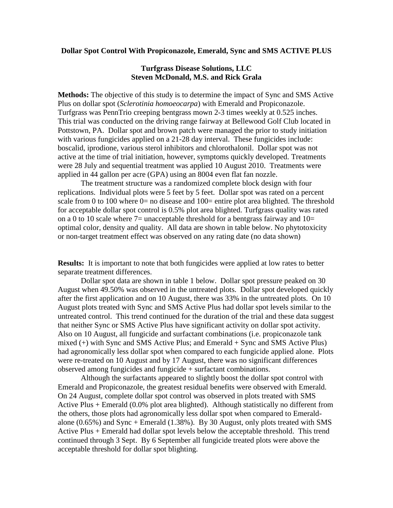## **Dollar Spot Control With Propiconazole, Emerald, Sync and SMS ACTIVE PLUS**

## **Turfgrass Disease Solutions, LLC Steven McDonald, M.S. and Rick Grala**

**Methods:** The objective of this study is to determine the impact of Sync and SMS Active Plus on dollar spot (*Sclerotinia homoeocarpa*) with Emerald and Propiconazole. Turfgrass was PennTrio creeping bentgrass mown 2-3 times weekly at 0.525 inches. This trial was conducted on the driving range fairway at Bellewood Golf Club located in Pottstown, PA. Dollar spot and brown patch were managed the prior to study initiation with various fungicides applied on a 21-28 day interval. These fungicides include: boscalid, iprodione, various sterol inhibitors and chlorothalonil. Dollar spot was not active at the time of trial initiation, however, symptoms quickly developed. Treatments were 28 July and sequential treatment was applied 10 August 2010. Treatments were applied in 44 gallon per acre (GPA) using an 8004 even flat fan nozzle.

The treatment structure was a randomized complete block design with four replications. Individual plots were 5 feet by 5 feet. Dollar spot was rated on a percent scale from 0 to 100 where  $0=$  no disease and 100= entire plot area blighted. The threshold for acceptable dollar spot control is 0.5% plot area blighted. Turfgrass quality was rated on a 0 to 10 scale where  $7=$  unacceptable threshold for a bentgrass fairway and  $10=$ optimal color, density and quality. All data are shown in table below. No phytotoxicity or non-target treatment effect was observed on any rating date (no data shown)

**Results:** It is important to note that both fungicides were applied at low rates to better separate treatment differences.

Dollar spot data are shown in table 1 below. Dollar spot pressure peaked on 30 August when 49.50% was observed in the untreated plots. Dollar spot developed quickly after the first application and on 10 August, there was 33% in the untreated plots. On 10 August plots treated with Sync and SMS Active Plus had dollar spot levels similar to the untreated control. This trend continued for the duration of the trial and these data suggest that neither Sync or SMS Active Plus have significant activity on dollar spot activity. Also on 10 August, all fungicide and surfactant combinations (i.e. propiconazole tank mixed (+) with Sync and SMS Active Plus; and Emerald + Sync and SMS Active Plus) had agronomically less dollar spot when compared to each fungicide applied alone. Plots were re-treated on 10 August and by 17 August, there was no significant differences observed among fungicides and fungicide + surfactant combinations.

Although the surfactants appeared to slightly boost the dollar spot control with Emerald and Propiconazole, the greatest residual benefits were observed with Emerald. On 24 August, complete dollar spot control was observed in plots treated with SMS Active Plus + Emerald (0.0% plot area blighted). Although statistically no different from the others, those plots had agronomically less dollar spot when compared to Emeraldalone  $(0.65\%)$  and Sync + Emerald  $(1.38\%)$ . By 30 August, only plots treated with SMS Active Plus + Emerald had dollar spot levels below the acceptable threshold. This trend continued through 3 Sept. By 6 September all fungicide treated plots were above the acceptable threshold for dollar spot blighting.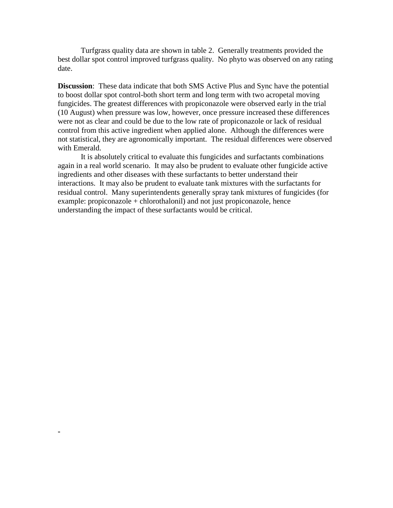Turfgrass quality data are shown in table 2. Generally treatments provided the best dollar spot control improved turfgrass quality. No phyto was observed on any rating date.

**Discussion**: These data indicate that both SMS Active Plus and Sync have the potential to boost dollar spot control-both short term and long term with two acropetal moving fungicides. The greatest differences with propiconazole were observed early in the trial (10 August) when pressure was low, however, once pressure increased these differences were not as clear and could be due to the low rate of propiconazole or lack of residual control from this active ingredient when applied alone. Although the differences were not statistical, they are agronomically important. The residual differences were observed with Emerald.

It is absolutely critical to evaluate this fungicides and surfactants combinations again in a real world scenario. It may also be prudent to evaluate other fungicide active ingredients and other diseases with these surfactants to better understand their interactions. It may also be prudent to evaluate tank mixtures with the surfactants for residual control. Many superintendents generally spray tank mixtures of fungicides (for example: propiconazole + chlorothalonil) and not just propiconazole, hence understanding the impact of these surfactants would be critical.

**-**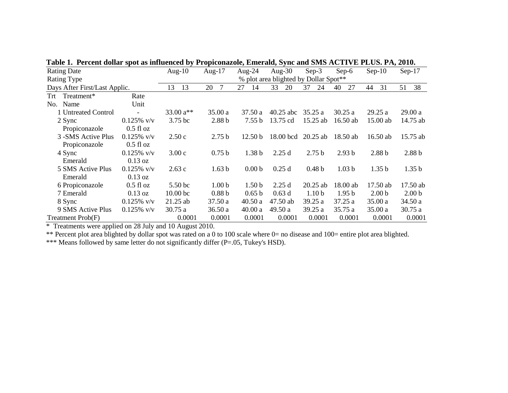| Tabic 1. Terent gonar spot as inhaenced by Tropiconazoic, Emeraig, byne and Sivis ACTI (ETLOS. FA, 2010. |                                                             |                     |                   |                    |             |                   |                   |                   |                   |
|----------------------------------------------------------------------------------------------------------|-------------------------------------------------------------|---------------------|-------------------|--------------------|-------------|-------------------|-------------------|-------------------|-------------------|
| <b>Rating Date</b>                                                                                       |                                                             | Aug- $10$           | Aug- $17$         |                    | Aug- $30$   | $Sep-3$           | $Sep-6$           | $Sep-10$          | $Sep-17$          |
| <b>Rating Type</b>                                                                                       | Aug-24<br>% plot area blighted by Dollar Spot <sup>**</sup> |                     |                   |                    |             |                   |                   |                   |                   |
| Days After First/Last Applic.                                                                            |                                                             | 13<br>13            | 20<br>7           | 27<br>14           | 33<br>20    | 37<br>24          | 27<br>40          | 31<br>44          | 38<br>51          |
| Trt Treatment*                                                                                           | Rate                                                        |                     |                   |                    |             |                   |                   |                   |                   |
| Name<br>No.                                                                                              | Unit                                                        |                     |                   |                    |             |                   |                   |                   |                   |
| 1 Untreated Control                                                                                      | $\overline{\phantom{a}}$                                    | 33.00 $a^{**}$      | 35.00a            | 37.50 a            | $40.25$ abc | 35.25a            | 30.25a            | 29.25a            | 29.00a            |
| 2 Sync                                                                                                   | $0.125\%$ v/v                                               | 3.75 bc             | 2.88 <sub>b</sub> | 7.55 b             | 13.75 cd    | 15.25 ab          | $16.50$ ab        | $15.00$ ab        | 14.75 ab          |
| Propiconazole                                                                                            | $0.5$ fl oz                                                 |                     |                   |                    |             |                   |                   |                   |                   |
| 3 -SMS Active Plus                                                                                       | $0.125\%$ v/v                                               | 2.50c               | 2.75 <sub>b</sub> | 12.50 <sub>b</sub> | 18.00 bcd   | $20.25$ ab        | $18.50$ ab        | $16.50$ ab        | 15.75 ab          |
| Propiconazole                                                                                            | $0.5$ fl oz                                                 |                     |                   |                    |             |                   |                   |                   |                   |
| 4 Sync                                                                                                   | $0.125\%$ v/v                                               | 3.00c               | 0.75 <sub>b</sub> | 1.38 <sub>b</sub>  | 2.25d       | 2.75 <sub>b</sub> | 2.93 <sub>b</sub> | 2.88 <sub>b</sub> | 2.88 <sub>b</sub> |
| Emerald                                                                                                  | $0.13 \text{ oz}$                                           |                     |                   |                    |             |                   |                   |                   |                   |
| 5 SMS Active Plus                                                                                        | $0.125\%$ v/v                                               | 2.63c               | 1.63 <sub>b</sub> | 0.00 <sub>b</sub>  | 0.25d       | 0.48 <sub>b</sub> | 1.03 <sub>b</sub> | 1.35 <sub>b</sub> | 1.35 <sub>b</sub> |
| Emerald                                                                                                  | $0.13 \text{ oz}$                                           |                     |                   |                    |             |                   |                   |                   |                   |
| 6 Propiconazole                                                                                          | $0.5$ fl oz                                                 | 5.50 <sub>bc</sub>  | 1.00 <sub>b</sub> | 1.50 <sub>b</sub>  | 2.25d       | $20.25$ ab        | 18.00 ab          | 17.50 ab          | 17.50 ab          |
| 7 Emerald                                                                                                | $0.13$ oz                                                   | 10.00 <sub>bc</sub> | 0.88 <sub>b</sub> | 0.65 b             | 0.63d       | 1.10 <sub>b</sub> | 1.95 <sub>b</sub> | 2.00 <sub>b</sub> | 2.00 <sub>b</sub> |
| 8 Sync                                                                                                   | $0.125\%$ v/v                                               | $21.25$ ab          | 37.50 a           | 40.50a             | 47.50 ab    | 39.25 a           | 37.25a            | 35.00 a           | 34.50 a           |
| 9 SMS Active Plus                                                                                        | $0.125\%$ v/v                                               | 30.75 a             | 36.50a            | 40.00 a            | 49.50 a     | 39.25 a           | 35.75 a           | 35.00a            | 30.75a            |
| Treatment Prob(F)                                                                                        |                                                             | 0.0001              | 0.0001            | 0.0001             | 0.0001      | 0.0001            | 0.0001            | 0.0001            | 0.0001            |

**Table 1. Percent dollar spot as influenced by Propiconazole, Emerald, Sync and SMS ACTIVE PLUS. PA, 2010.**

\* Treatments were applied on 28 July and 10 August 2010.

\*\* Percent plot area blighted by dollar spot was rated on a 0 to 100 scale where 0= no disease and 100= entire plot area blighted.

\*\*\* Means followed by same letter do not significantly differ (P=.05, Tukey's HSD).